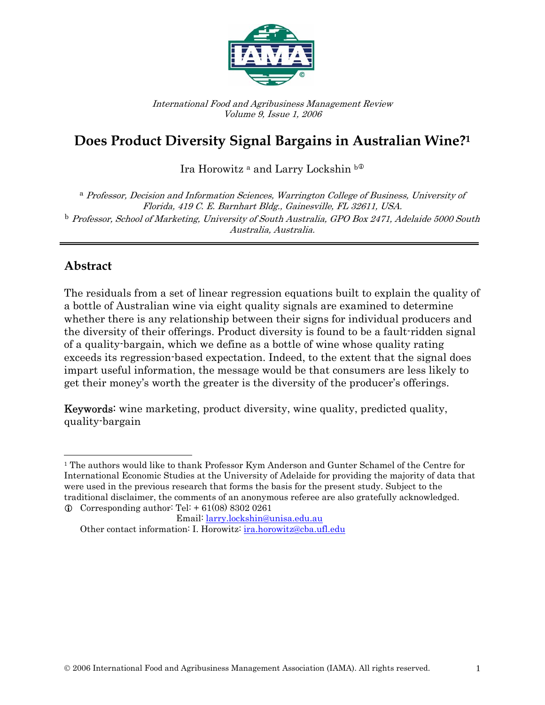

International Food and Agribusiness Management Review Volume 9, Issue 1, 2006

# **Does Product Diversity Signal Bargains in Australian Wine?1**

Ira Horowitz<sup>a</sup> and Larry Lockshin b<sup>o</sup>

<sup>a</sup> Professor, Decision and Information Sciences, Warrington College of Business, University of Florida, 419 C. E. Barnhart Bldg., Gainesville, FL 32611, USA. <sup>b</sup> Professor, School of Marketing, University of South Australia, GPO Box 2471, Adelaide 5000 South Australia, Australia.

# **Abstract**

 $\overline{\phantom{a}}$ 

The residuals from a set of linear regression equations built to explain the quality of a bottle of Australian wine via eight quality signals are examined to determine whether there is any relationship between their signs for individual producers and the diversity of their offerings. Product diversity is found to be a fault-ridden signal of a quality-bargain, which we define as a bottle of wine whose quality rating exceeds its regression-based expectation. Indeed, to the extent that the signal does impart useful information, the message would be that consumers are less likely to get their money's worth the greater is the diversity of the producer's offerings.

Keywords: wine marketing, product diversity, wine quality, predicted quality, quality-bargain

<sup>&</sup>lt;sup>1</sup> The authors would like to thank Professor Kym Anderson and Gunter Schamel of the Centre for International Economic Studies at the University of Adelaide for providing the majority of data that were used in the previous research that forms the basis for the present study. Subject to the traditional disclaimer, the comments of an anonymous referee are also gratefully acknowledged.

 $\Phi$  Corresponding author: Tel: + 61(08) 8302 0261

Email: larry.lockshin@unisa.edu.au Other contact information: I. Horowitz: *ira.horowitz@cba.ufl.edu*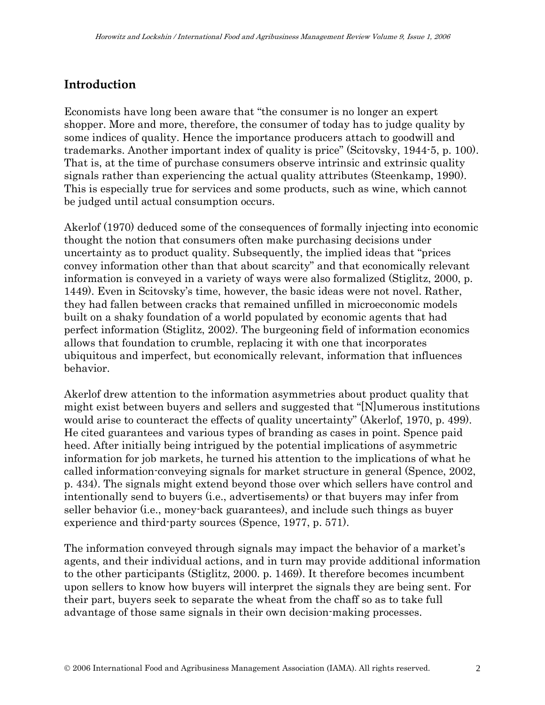### **Introduction**

Economists have long been aware that "the consumer is no longer an expert shopper. More and more, therefore, the consumer of today has to judge quality by some indices of quality. Hence the importance producers attach to goodwill and trademarks. Another important index of quality is price" (Scitovsky, 1944-5, p. 100). That is, at the time of purchase consumers observe intrinsic and extrinsic quality signals rather than experiencing the actual quality attributes (Steenkamp, 1990). This is especially true for services and some products, such as wine, which cannot be judged until actual consumption occurs.

Akerlof (1970) deduced some of the consequences of formally injecting into economic thought the notion that consumers often make purchasing decisions under uncertainty as to product quality. Subsequently, the implied ideas that "prices convey information other than that about scarcity" and that economically relevant information is conveyed in a variety of ways were also formalized (Stiglitz, 2000, p. 1449). Even in Scitovsky's time, however, the basic ideas were not novel. Rather, they had fallen between cracks that remained unfilled in microeconomic models built on a shaky foundation of a world populated by economic agents that had perfect information (Stiglitz, 2002). The burgeoning field of information economics allows that foundation to crumble, replacing it with one that incorporates ubiquitous and imperfect, but economically relevant, information that influences behavior.

Akerlof drew attention to the information asymmetries about product quality that might exist between buyers and sellers and suggested that "[N]umerous institutions would arise to counteract the effects of quality uncertainty" (Akerlof, 1970, p. 499). He cited guarantees and various types of branding as cases in point. Spence paid heed. After initially being intrigued by the potential implications of asymmetric information for job markets, he turned his attention to the implications of what he called information-conveying signals for market structure in general (Spence, 2002, p. 434). The signals might extend beyond those over which sellers have control and intentionally send to buyers (i.e., advertisements) or that buyers may infer from seller behavior (i.e., money-back guarantees), and include such things as buyer experience and third-party sources (Spence, 1977, p. 571).

The information conveyed through signals may impact the behavior of a market's agents, and their individual actions, and in turn may provide additional information to the other participants (Stiglitz, 2000. p. 1469). It therefore becomes incumbent upon sellers to know how buyers will interpret the signals they are being sent. For their part, buyers seek to separate the wheat from the chaff so as to take full advantage of those same signals in their own decision-making processes.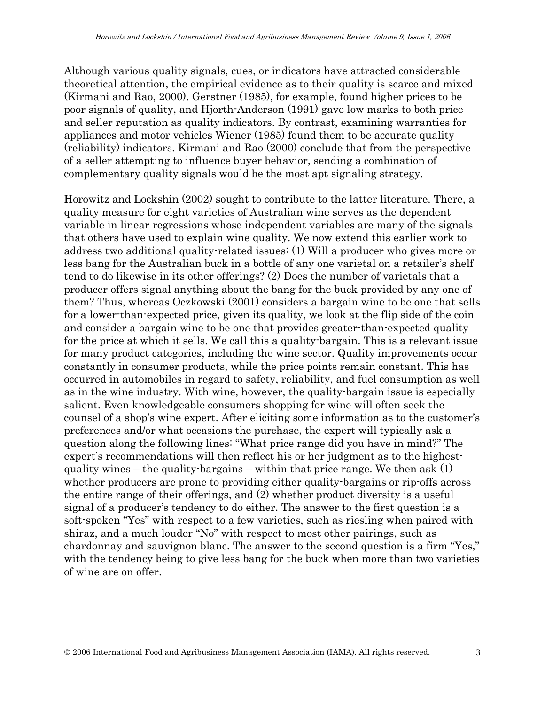Although various quality signals, cues, or indicators have attracted considerable theoretical attention, the empirical evidence as to their quality is scarce and mixed (Kirmani and Rao, 2000). Gerstner (1985), for example, found higher prices to be poor signals of quality, and Hjorth-Anderson (1991) gave low marks to both price and seller reputation as quality indicators. By contrast, examining warranties for appliances and motor vehicles Wiener (1985) found them to be accurate quality (reliability) indicators. Kirmani and Rao (2000) conclude that from the perspective of a seller attempting to influence buyer behavior, sending a combination of complementary quality signals would be the most apt signaling strategy.

Horowitz and Lockshin (2002) sought to contribute to the latter literature. There, a quality measure for eight varieties of Australian wine serves as the dependent variable in linear regressions whose independent variables are many of the signals that others have used to explain wine quality. We now extend this earlier work to address two additional quality-related issues: (1) Will a producer who gives more or less bang for the Australian buck in a bottle of any one varietal on a retailer's shelf tend to do likewise in its other offerings? (2) Does the number of varietals that a producer offers signal anything about the bang for the buck provided by any one of them? Thus, whereas Oczkowski (2001) considers a bargain wine to be one that sells for a lower-than-expected price, given its quality, we look at the flip side of the coin and consider a bargain wine to be one that provides greater-than-expected quality for the price at which it sells. We call this a quality-bargain. This is a relevant issue for many product categories, including the wine sector. Quality improvements occur constantly in consumer products, while the price points remain constant. This has occurred in automobiles in regard to safety, reliability, and fuel consumption as well as in the wine industry. With wine, however, the quality-bargain issue is especially salient. Even knowledgeable consumers shopping for wine will often seek the counsel of a shop's wine expert. After eliciting some information as to the customer's preferences and/or what occasions the purchase, the expert will typically ask a question along the following lines: "What price range did you have in mind?" The expert's recommendations will then reflect his or her judgment as to the highestquality wines – the quality-bargains – within that price range. We then ask (1) whether producers are prone to providing either quality-bargains or rip-offs across the entire range of their offerings, and (2) whether product diversity is a useful signal of a producer's tendency to do either. The answer to the first question is a soft-spoken "Yes" with respect to a few varieties, such as riesling when paired with shiraz, and a much louder "No" with respect to most other pairings, such as chardonnay and sauvignon blanc. The answer to the second question is a firm "Yes," with the tendency being to give less bang for the buck when more than two varieties of wine are on offer.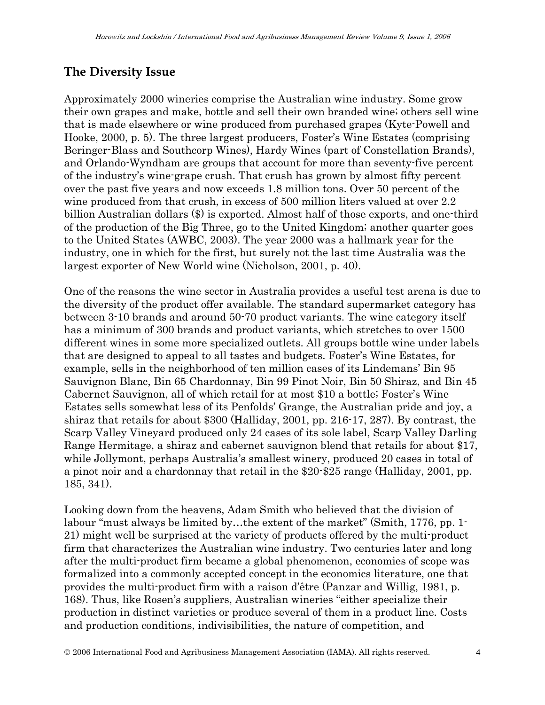# **The Diversity Issue**

Approximately 2000 wineries comprise the Australian wine industry. Some grow their own grapes and make, bottle and sell their own branded wine; others sell wine that is made elsewhere or wine produced from purchased grapes (Kyte-Powell and Hooke, 2000, p. 5). The three largest producers, Foster's Wine Estates (comprising Beringer-Blass and Southcorp Wines), Hardy Wines (part of Constellation Brands), and Orlando-Wyndham are groups that account for more than seventy-five percent of the industry's wine-grape crush. That crush has grown by almost fifty percent over the past five years and now exceeds 1.8 million tons. Over 50 percent of the wine produced from that crush, in excess of 500 million liters valued at over 2.2 billion Australian dollars (\$) is exported. Almost half of those exports, and one-third of the production of the Big Three, go to the United Kingdom; another quarter goes to the United States (AWBC, 2003). The year 2000 was a hallmark year for the industry, one in which for the first, but surely not the last time Australia was the largest exporter of New World wine (Nicholson, 2001, p. 40).

One of the reasons the wine sector in Australia provides a useful test arena is due to the diversity of the product offer available. The standard supermarket category has between 3-10 brands and around 50-70 product variants. The wine category itself has a minimum of 300 brands and product variants, which stretches to over 1500 different wines in some more specialized outlets. All groups bottle wine under labels that are designed to appeal to all tastes and budgets. Foster's Wine Estates, for example, sells in the neighborhood of ten million cases of its Lindemans' Bin 95 Sauvignon Blanc, Bin 65 Chardonnay, Bin 99 Pinot Noir, Bin 50 Shiraz, and Bin 45 Cabernet Sauvignon, all of which retail for at most \$10 a bottle; Foster's Wine Estates sells somewhat less of its Penfolds' Grange, the Australian pride and joy, a shiraz that retails for about \$300 (Halliday, 2001, pp. 216-17, 287). By contrast, the Scarp Valley Vineyard produced only 24 cases of its sole label, Scarp Valley Darling Range Hermitage, a shiraz and cabernet sauvignon blend that retails for about \$17, while Jollymont, perhaps Australia's smallest winery, produced 20 cases in total of a pinot noir and a chardonnay that retail in the \$20-\$25 range (Halliday, 2001, pp. 185, 341).

Looking down from the heavens, Adam Smith who believed that the division of labour "must always be limited by…the extent of the market" (Smith, 1776, pp. 1- 21) might well be surprised at the variety of products offered by the multi-product firm that characterizes the Australian wine industry. Two centuries later and long after the multi-product firm became a global phenomenon, economies of scope was formalized into a commonly accepted concept in the economics literature, one that provides the multi-product firm with a raison d'être (Panzar and Willig, 1981, p. 168). Thus, like Rosen's suppliers, Australian wineries "either specialize their production in distinct varieties or produce several of them in a product line. Costs and production conditions, indivisibilities, the nature of competition, and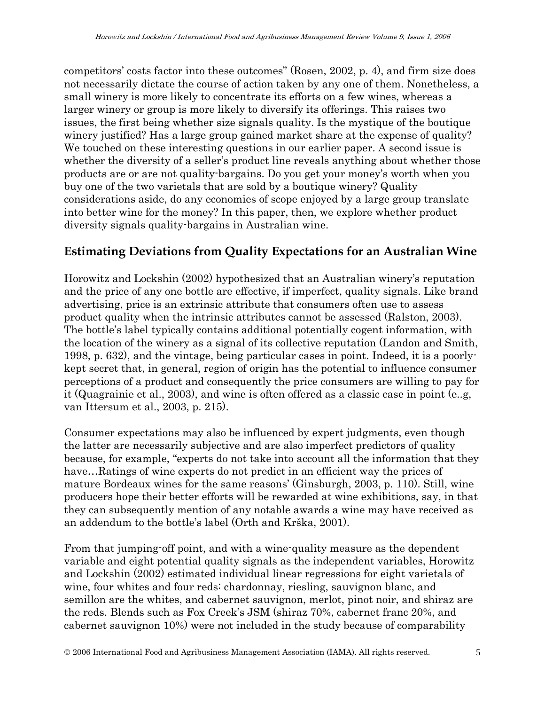competitors' costs factor into these outcomes" (Rosen, 2002, p. 4), and firm size does not necessarily dictate the course of action taken by any one of them. Nonetheless, a small winery is more likely to concentrate its efforts on a few wines, whereas a larger winery or group is more likely to diversify its offerings. This raises two issues, the first being whether size signals quality. Is the mystique of the boutique winery justified? Has a large group gained market share at the expense of quality? We touched on these interesting questions in our earlier paper. A second issue is whether the diversity of a seller's product line reveals anything about whether those products are or are not quality-bargains. Do you get your money's worth when you buy one of the two varietals that are sold by a boutique winery? Quality considerations aside, do any economies of scope enjoyed by a large group translate into better wine for the money? In this paper, then, we explore whether product diversity signals quality-bargains in Australian wine.

### **Estimating Deviations from Quality Expectations for an Australian Wine**

Horowitz and Lockshin (2002) hypothesized that an Australian winery's reputation and the price of any one bottle are effective, if imperfect, quality signals. Like brand advertising, price is an extrinsic attribute that consumers often use to assess product quality when the intrinsic attributes cannot be assessed (Ralston, 2003). The bottle's label typically contains additional potentially cogent information, with the location of the winery as a signal of its collective reputation (Landon and Smith, 1998, p. 632), and the vintage, being particular cases in point. Indeed, it is a poorlykept secret that, in general, region of origin has the potential to influence consumer perceptions of a product and consequently the price consumers are willing to pay for it (Quagrainie et al., 2003), and wine is often offered as a classic case in point (e..g, van Ittersum et al., 2003, p. 215).

Consumer expectations may also be influenced by expert judgments, even though the latter are necessarily subjective and are also imperfect predictors of quality because, for example, "experts do not take into account all the information that they have...Ratings of wine experts do not predict in an efficient way the prices of mature Bordeaux wines for the same reasons' (Ginsburgh, 2003, p. 110). Still, wine producers hope their better efforts will be rewarded at wine exhibitions, say, in that they can subsequently mention of any notable awards a wine may have received as an addendum to the bottle's label (Orth and Krška, 2001).

From that jumping-off point, and with a wine-quality measure as the dependent variable and eight potential quality signals as the independent variables, Horowitz and Lockshin (2002) estimated individual linear regressions for eight varietals of wine, four whites and four reds: chardonnay, riesling, sauvignon blanc, and semillon are the whites, and cabernet sauvignon, merlot, pinot noir, and shiraz are the reds. Blends such as Fox Creek's JSM (shiraz 70%, cabernet franc 20%, and cabernet sauvignon 10%) were not included in the study because of comparability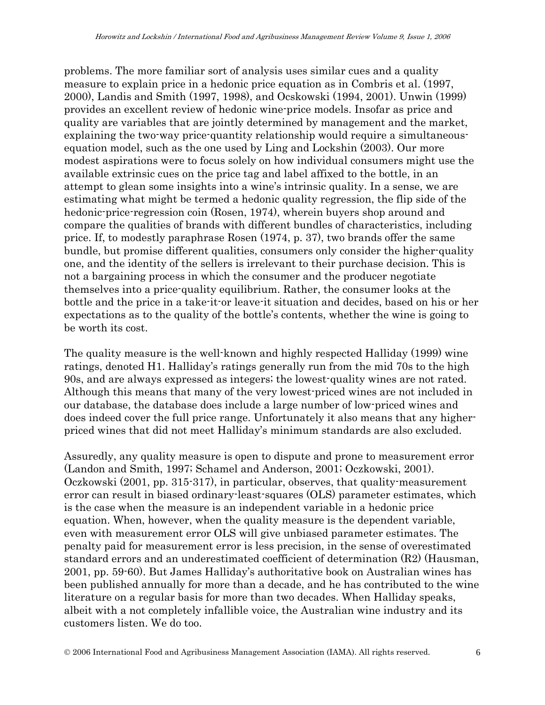problems. The more familiar sort of analysis uses similar cues and a quality measure to explain price in a hedonic price equation as in Combris et al. (1997, 2000), Landis and Smith (1997, 1998), and Ocskowski (1994, 2001). Unwin (1999) provides an excellent review of hedonic wine-price models. Insofar as price and quality are variables that are jointly determined by management and the market, explaining the two-way price-quantity relationship would require a simultaneousequation model, such as the one used by Ling and Lockshin (2003). Our more modest aspirations were to focus solely on how individual consumers might use the available extrinsic cues on the price tag and label affixed to the bottle, in an attempt to glean some insights into a wine's intrinsic quality. In a sense, we are estimating what might be termed a hedonic quality regression, the flip side of the hedonic-price-regression coin (Rosen, 1974), wherein buyers shop around and compare the qualities of brands with different bundles of characteristics, including price. If, to modestly paraphrase Rosen (1974, p. 37), two brands offer the same bundle, but promise different qualities, consumers only consider the higher-quality one, and the identity of the sellers is irrelevant to their purchase decision. This is not a bargaining process in which the consumer and the producer negotiate themselves into a price-quality equilibrium. Rather, the consumer looks at the bottle and the price in a take-it-or leave-it situation and decides, based on his or her expectations as to the quality of the bottle's contents, whether the wine is going to be worth its cost.

The quality measure is the well-known and highly respected Halliday (1999) wine ratings, denoted H1. Halliday's ratings generally run from the mid 70s to the high 90s, and are always expressed as integers; the lowest-quality wines are not rated. Although this means that many of the very lowest-priced wines are not included in our database, the database does include a large number of low-priced wines and does indeed cover the full price range. Unfortunately it also means that any higherpriced wines that did not meet Halliday's minimum standards are also excluded.

Assuredly, any quality measure is open to dispute and prone to measurement error (Landon and Smith, 1997; Schamel and Anderson, 2001; Oczkowski, 2001). Oczkowski (2001, pp. 315-317), in particular, observes, that quality-measurement error can result in biased ordinary-least-squares (OLS) parameter estimates, which is the case when the measure is an independent variable in a hedonic price equation. When, however, when the quality measure is the dependent variable, even with measurement error OLS will give unbiased parameter estimates. The penalty paid for measurement error is less precision, in the sense of overestimated standard errors and an underestimated coefficient of determination (R2) (Hausman, 2001, pp. 59-60). But James Halliday's authoritative book on Australian wines has been published annually for more than a decade, and he has contributed to the wine literature on a regular basis for more than two decades. When Halliday speaks, albeit with a not completely infallible voice, the Australian wine industry and its customers listen. We do too.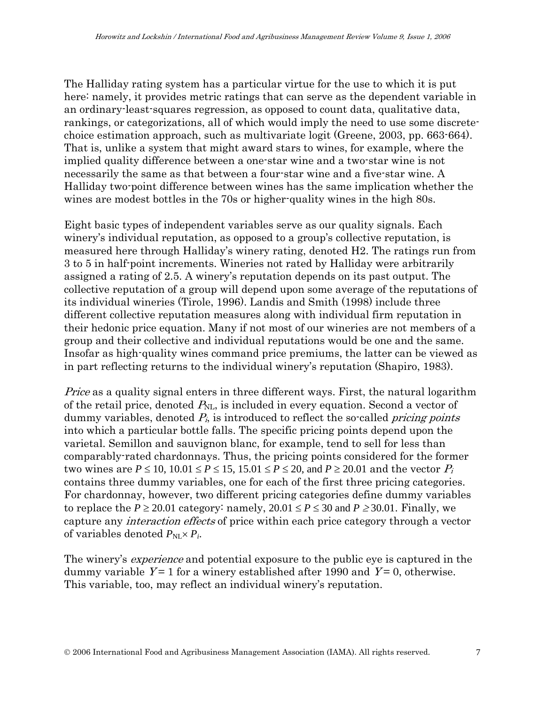The Halliday rating system has a particular virtue for the use to which it is put here: namely, it provides metric ratings that can serve as the dependent variable in an ordinary-least-squares regression, as opposed to count data, qualitative data, rankings, or categorizations, all of which would imply the need to use some discretechoice estimation approach, such as multivariate logit (Greene, 2003, pp. 663-664). That is, unlike a system that might award stars to wines, for example, where the implied quality difference between a one-star wine and a two-star wine is not necessarily the same as that between a four-star wine and a five-star wine. A Halliday two-point difference between wines has the same implication whether the wines are modest bottles in the 70s or higher-quality wines in the high 80s.

Eight basic types of independent variables serve as our quality signals. Each winery's individual reputation, as opposed to a group's collective reputation, is measured here through Halliday's winery rating, denoted H2. The ratings run from 3 to 5 in half-point increments. Wineries not rated by Halliday were arbitrarily assigned a rating of 2.5. A winery's reputation depends on its past output. The collective reputation of a group will depend upon some average of the reputations of its individual wineries (Tirole, 1996). Landis and Smith (1998) include three different collective reputation measures along with individual firm reputation in their hedonic price equation. Many if not most of our wineries are not members of a group and their collective and individual reputations would be one and the same. Insofar as high-quality wines command price premiums, the latter can be viewed as in part reflecting returns to the individual winery's reputation (Shapiro, 1983).

Price as a quality signal enters in three different ways. First, the natural logarithm of the retail price, denoted  $P_{NL}$ , is included in every equation. Second a vector of dummy variables, denoted  $P_i$ , is introduced to reflect the so-called *pricing points* into which a particular bottle falls. The specific pricing points depend upon the varietal. Semillon and sauvignon blanc, for example, tend to sell for less than comparably-rated chardonnays. Thus, the pricing points considered for the former two wines are  $P \le 10$ ,  $10.01 \le P \le 15$ ,  $15.01 \le P \le 20$ , and  $P \ge 20.01$  and the vector  $P_i$ contains three dummy variables, one for each of the first three pricing categories. For chardonnay, however, two different pricing categories define dummy variables to replace the  $P \ge 20.01$  category: namely,  $20.01 \le P \le 30$  and  $P \ge 30.01$ . Finally, we capture any interaction effects of price within each price category through a vector of variables denoted  $P_{\text{NL}} \times P_i$ .

The winery's *experience* and potential exposure to the public eye is captured in the dummy variable  $Y = 1$  for a winery established after 1990 and  $Y = 0$ , otherwise. This variable, too, may reflect an individual winery's reputation.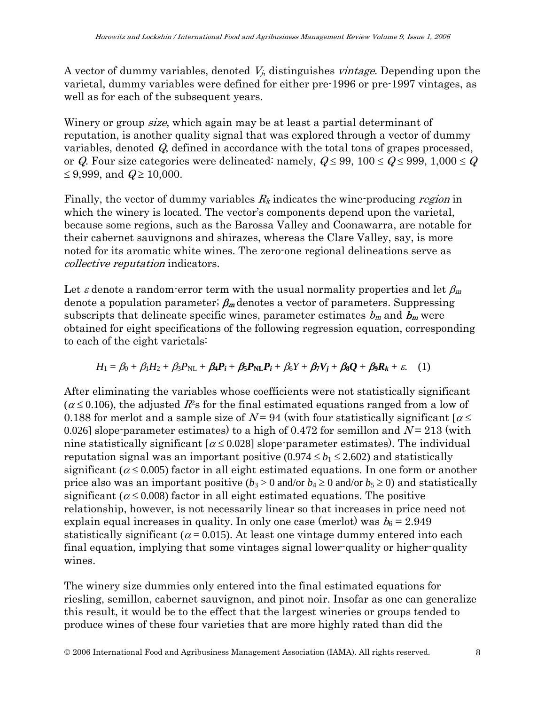A vector of dummy variables, denoted  $V_i$ , distinguishes *vintage*. Depending upon the varietal, dummy variables were defined for either pre-1996 or pre-1997 vintages, as well as for each of the subsequent years.

Winery or group *size*, which again may be at least a partial determinant of reputation, is another quality signal that was explored through a vector of dummy variables, denoted Q, defined in accordance with the total tons of grapes processed, or Q. Four size categories were delineated: namely,  $Q \le 99$ ,  $100 \le Q \le 999$ ,  $1,000 \le Q$ ≤ 9,999, and  $Q$  ≥ 10,000.

Finally, the vector of dummy variables  $R_k$  indicates the wine-producing region in which the winery is located. The vector's components depend upon the varietal, because some regions, such as the Barossa Valley and Coonawarra, are notable for their cabernet sauvignons and shirazes, whereas the Clare Valley, say, is more noted for its aromatic white wines. The zero-one regional delineations serve as collective reputation indicators.

Let  $\varepsilon$  denote a random-error term with the usual normality properties and let  $\beta_m$ denote a population parameter;  $\beta_m$  denotes a vector of parameters. Suppressing subscripts that delineate specific wines, parameter estimates  $b_m$  and  $b_m$  were obtained for eight specifications of the following regression equation, corresponding to each of the eight varietals:

$$
H_1 = \beta_0 + \beta_1 H_2 + \beta_3 P_{NL} + \beta_4 P_i + \beta_5 P_{NL} P_i + \beta_6 Y + \beta_7 V_j + \beta_8 Q + \beta_9 R_k + \varepsilon.
$$
 (1)

After eliminating the variables whose coefficients were not statistically significant  $(\alpha \le 0.106)$ , the adjusted  $R^2$ s for the final estimated equations ranged from a low of 0.188 for merlot and a sample size of  $N = 94$  (with four statistically significant  $\lceil \alpha \leq 1 \rceil$ 0.026] slope-parameter estimates) to a high of 0.472 for semillon and  $N = 213$  (with nine statistically significant  $\alpha \le 0.028$ ] slope-parameter estimates). The individual reputation signal was an important positive  $(0.974 \le b_1 \le 2.602)$  and statistically significant ( $\alpha \leq 0.005$ ) factor in all eight estimated equations. In one form or another price also was an important positive  $(b_3 > 0$  and/or  $b_4 \ge 0$  and/or  $b_5 \ge 0$ ) and statistically significant ( $\alpha \leq 0.008$ ) factor in all eight estimated equations. The positive relationship, however, is not necessarily linear so that increases in price need not explain equal increases in quality. In only one case (merlot) was  $b_6 = 2.949$ statistically significant ( $\alpha$  = 0.015). At least one vintage dummy entered into each final equation, implying that some vintages signal lower-quality or higher-quality wines.

The winery size dummies only entered into the final estimated equations for riesling, semillon, cabernet sauvignon, and pinot noir. Insofar as one can generalize this result, it would be to the effect that the largest wineries or groups tended to produce wines of these four varieties that are more highly rated than did the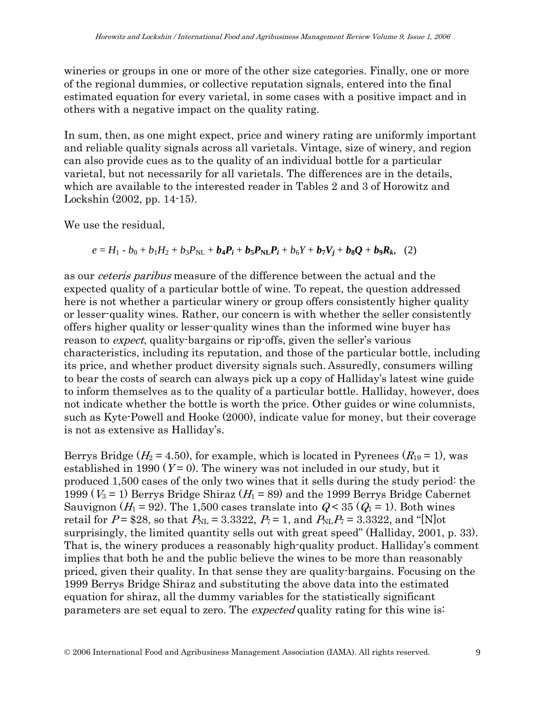wineries or groups in one or more of the other size categories. Finally, one or more of the regional dummies, or collective reputation signals, entered into the final estimated equation for every varietal, in some cases with a positive impact and in others with a negative impact on the quality rating.

In sum, then, as one might expect, price and winery rating are uniformly important and reliable quality signals across all varietals. Vintage, size of winery, and region can also provide cues as to the quality of an individual bottle for a particular varietal, but not necessarily for all varietals. The differences are in the details, which are available to the interested reader in Tables 2 and 3 of Horowitz and Lockshin (2002, pp. 14-15).

We use the residual,

$$
e = H_1 - b_0 + b_1 H_2 + b_3 P_{\text{NL}} + b_4 P_i + b_5 P_{\text{NL}} P_i + b_6 Y + b_7 V_j + b_8 Q + b_9 R_k, (2)
$$

as our ceteris paribus measure of the difference between the actual and the expected quality of a particular bottle of wine. To repeat, the question addressed here is not whether a particular winery or group offers consistently higher quality or lesser-quality wines. Rather, our concern is with whether the seller consistently offers higher quality or lesser-quality wines than the informed wine buyer has reason to *expect*, quality-bargains or rip-offs, given the seller's various characteristics, including its reputation, and those of the particular bottle, including its price, and whether product diversity signals such. Assuredly, consumers willing to bear the costs of search can always pick up a copy of Halliday's latest wine guide to inform themselves as to the quality of a particular bottle. Halliday, however, does not indicate whether the bottle is worth the price. Other guides or wine columnists, such as Kyte-Powell and Hooke (2000), indicate value for money, but their coverage is not as extensive as Halliday's.

Berrys Bridge ( $H_2 = 4.50$ ), for example, which is located in Pyrenees ( $R_{19} = 1$ ), was established in 1990 ( $Y=0$ ). The winery was not included in our study, but it produced 1,500 cases of the only two wines that it sells during the study period: the 1999 ( $V_3$  = 1) Berrys Bridge Shiraz ( $H_1$  = 89) and the 1999 Berrys Bridge Cabernet Sauvignon ( $H_1$  = 92). The 1,500 cases translate into  $Q < 35$  ( $Q_1$  = 1). Both wines retail for  $P = $28$ , so that  $P_{NL} = 3.3322$ ,  $P_7 = 1$ , and  $P_{NL}P_7 = 3.3322$ , and "[N]ot surprisingly, the limited quantity sells out with great speed" (Halliday, 2001, p. 33). That is, the winery produces a reasonably high-quality product. Halliday's comment implies that both he and the public believe the wines to be more than reasonably priced, given their quality. In that sense they are quality-bargains. Focusing on the 1999 Berrys Bridge Shiraz and substituting the above data into the estimated equation for shiraz, all the dummy variables for the statistically significant parameters are set equal to zero. The *expected* quality rating for this wine is: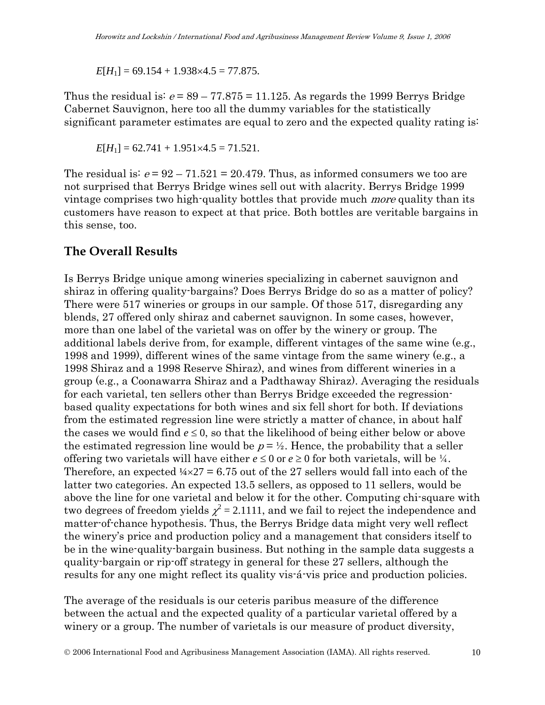$E[H_1] = 69.154 + 1.938 \times 4.5 = 77.875.$ 

Thus the residual is:  $e = 89 - 77.875 = 11.125$ . As regards the 1999 Berrys Bridge Cabernet Sauvignon, here too all the dummy variables for the statistically significant parameter estimates are equal to zero and the expected quality rating is:

$$
E[H_1] = 62.741 + 1.951 \times 4.5 = 71.521.
$$

The residual is:  $e = 92 - 71.521 = 20.479$ . Thus, as informed consumers we too are not surprised that Berrys Bridge wines sell out with alacrity. Berrys Bridge 1999 vintage comprises two high-quality bottles that provide much *more* quality than its customers have reason to expect at that price. Both bottles are veritable bargains in this sense, too.

#### **The Overall Results**

Is Berrys Bridge unique among wineries specializing in cabernet sauvignon and shiraz in offering quality-bargains? Does Berrys Bridge do so as a matter of policy? There were 517 wineries or groups in our sample. Of those 517, disregarding any blends, 27 offered only shiraz and cabernet sauvignon. In some cases, however, more than one label of the varietal was on offer by the winery or group. The additional labels derive from, for example, different vintages of the same wine (e.g., 1998 and 1999), different wines of the same vintage from the same winery (e.g., a 1998 Shiraz and a 1998 Reserve Shiraz), and wines from different wineries in a group (e.g., a Coonawarra Shiraz and a Padthaway Shiraz). Averaging the residuals for each varietal, ten sellers other than Berrys Bridge exceeded the regressionbased quality expectations for both wines and six fell short for both. If deviations from the estimated regression line were strictly a matter of chance, in about half the cases we would find  $e \leq 0$ , so that the likelihood of being either below or above the estimated regression line would be  $p = \frac{1}{2}$ . Hence, the probability that a seller offering two varietals will have either  $e \leq 0$  or  $e \geq 0$  for both varietals, will be  $\frac{1}{4}$ . Therefore, an expected  $\frac{1}{4} \times 27 = 6.75$  out of the 27 sellers would fall into each of the latter two categories. An expected 13.5 sellers, as opposed to 11 sellers, would be above the line for one varietal and below it for the other. Computing chi-square with two degrees of freedom yields  $\chi^2$  = 2.1111, and we fail to reject the independence and matter-of-chance hypothesis. Thus, the Berrys Bridge data might very well reflect the winery's price and production policy and a management that considers itself to be in the wine-quality-bargain business. But nothing in the sample data suggests a quality-bargain or rip-off strategy in general for these 27 sellers, although the results for any one might reflect its quality vis-á-vis price and production policies.

The average of the residuals is our ceteris paribus measure of the difference between the actual and the expected quality of a particular varietal offered by a winery or a group. The number of varietals is our measure of product diversity,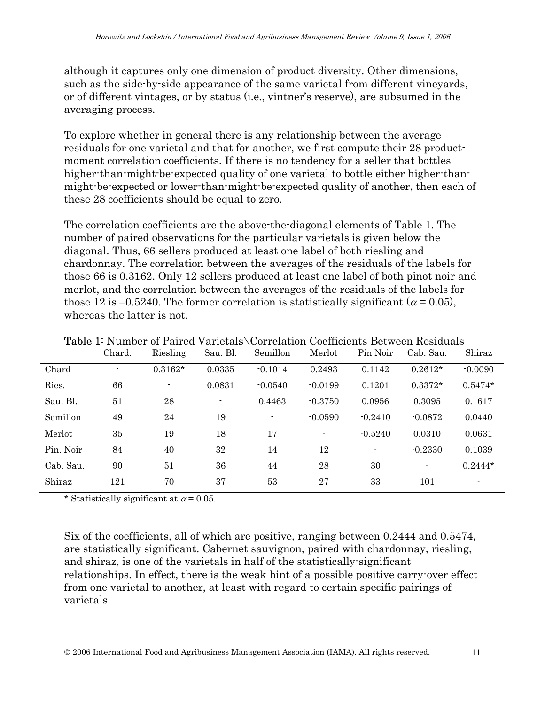although it captures only one dimension of product diversity. Other dimensions, such as the side-by-side appearance of the same varietal from different vineyards, or of different vintages, or by status (i.e., vintner's reserve), are subsumed in the averaging process.

To explore whether in general there is any relationship between the average residuals for one varietal and that for another, we first compute their 28 productmoment correlation coefficients. If there is no tendency for a seller that bottles higher-than-might-be-expected quality of one varietal to bottle either higher-thanmight-be-expected or lower-than-might-be-expected quality of another, then each of these 28 coefficients should be equal to zero.

The correlation coefficients are the above-the-diagonal elements of Table 1. The number of paired observations for the particular varietals is given below the diagonal. Thus, 66 sellers produced at least one label of both riesling and chardonnay. The correlation between the averages of the residuals of the labels for those 66 is 0.3162. Only 12 sellers produced at least one label of both pinot noir and merlot, and the correlation between the averages of the residuals of the labels for those 12 is –0.5240. The former correlation is statistically significant ( $\alpha$  = 0.05), whereas the latter is not.

|           | Chard.                   | Riesling                 | Sau. Bl.       | Semillon       | Merlot         | Pin Noir       | Cab. Sau.      | Shiraz    |
|-----------|--------------------------|--------------------------|----------------|----------------|----------------|----------------|----------------|-----------|
| Chard     | $\overline{\phantom{a}}$ | $0.3162*$                | 0.0335         | $-0.1014$      | 0.2493         | 0.1142         | $0.2612*$      | $-0.0090$ |
| Ries.     | 66                       | $\overline{\phantom{a}}$ | 0.0831         | $-0.0540$      | $-0.0199$      | 0.1201         | $0.3372*$      | $0.5474*$ |
| Sau. Bl.  | 51                       | 28                       | $\blacksquare$ | 0.4463         | $-0.3750$      | 0.0956         | 0.3095         | 0.1617    |
| Semillon  | 49                       | 24                       | 19             | $\blacksquare$ | $-0.0590$      | $-0.2410$      | $-0.0872$      | 0.0440    |
| Merlot    | 35                       | 19                       | 18             | 17             | $\blacksquare$ | $-0.5240$      | 0.0310         | 0.0631    |
| Pin. Noir | 84                       | 40                       | 32             | 14             | 12             | $\blacksquare$ | $-0.2330$      | 0.1039    |
| Cab. Sau. | 90                       | 51                       | 36             | 44             | 28             | 30             | $\overline{a}$ | $0.2444*$ |
| Shiraz    | 121                      | 70                       | 37             | 53             | 27             | 33             | 101            |           |

Table 1: Number of Paired Varietals\Correlation Coefficients Between Residuals

\* Statistically significant at  $\alpha$  = 0.05.

Six of the coefficients, all of which are positive, ranging between 0.2444 and 0.5474, are statistically significant. Cabernet sauvignon, paired with chardonnay, riesling, and shiraz, is one of the varietals in half of the statistically-significant relationships. In effect, there is the weak hint of a possible positive carry-over effect from one varietal to another, at least with regard to certain specific pairings of varietals.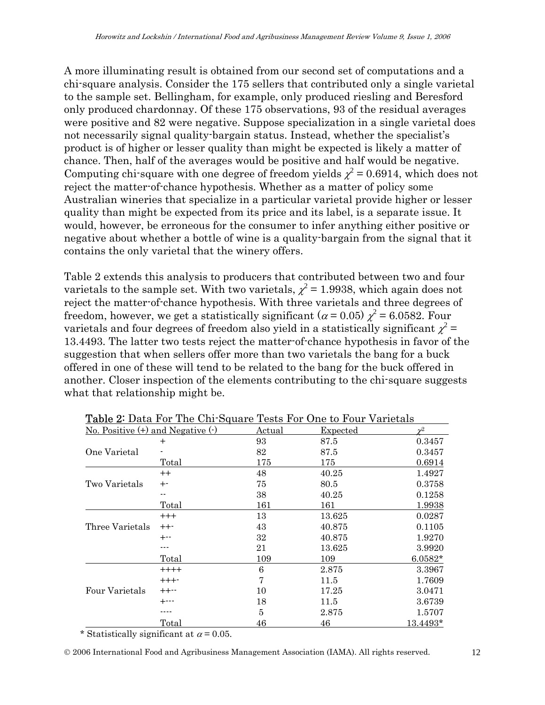A more illuminating result is obtained from our second set of computations and a chi-square analysis. Consider the 175 sellers that contributed only a single varietal to the sample set. Bellingham, for example, only produced riesling and Beresford only produced chardonnay. Of these 175 observations, 93 of the residual averages were positive and 82 were negative. Suppose specialization in a single varietal does not necessarily signal quality-bargain status. Instead, whether the specialist's product is of higher or lesser quality than might be expected is likely a matter of chance. Then, half of the averages would be positive and half would be negative. Computing chi-square with one degree of freedom yields  $\chi^2$  = 0.6914, which does not reject the matter-of-chance hypothesis. Whether as a matter of policy some Australian wineries that specialize in a particular varietal provide higher or lesser quality than might be expected from its price and its label, is a separate issue. It would, however, be erroneous for the consumer to infer anything either positive or negative about whether a bottle of wine is a quality-bargain from the signal that it contains the only varietal that the winery offers.

Table 2 extends this analysis to producers that contributed between two and four varietals to the sample set. With two varietals,  $\chi^2$  = 1.9938, which again does not reject the matter-of-chance hypothesis. With three varietals and three degrees of freedom, however, we get a statistically significant ( $\alpha$  = 0.05)  $\chi^2$  = 6.0582. Four varietals and four degrees of freedom also yield in a statistically significant  $\chi^2$  = 13.4493. The latter two tests reject the matter-of-chance hypothesis in favor of the suggestion that when sellers offer more than two varietals the bang for a buck offered in one of these will tend to be related to the bang for the buck offered in another. Closer inspection of the elements contributing to the chi-square suggests what that relationship might be.

|                                       | <b>Table 4'</b> Data Full The City Square Tests Full One to Full Varietals |               |                 |           |
|---------------------------------------|----------------------------------------------------------------------------|---------------|-----------------|-----------|
| No. Positive $(+)$ and Negative $(.)$ |                                                                            | <u>Actual</u> | <u>Expected</u> |           |
|                                       | $\mathrm{+}$                                                               | 93            | 87.5            | 0.3457    |
| One Varietal                          |                                                                            | 82            | 87.5            | 0.3457    |
|                                       | Total                                                                      | 175           | 175             | 0.6914    |
|                                       | $^{++}$                                                                    | 48            | 40.25           | 1.4927    |
| Two Varietals                         | $+$ -                                                                      | 75            | 80.5            | 0.3758    |
|                                       | --                                                                         | 38            | 40.25           | 0.1258    |
|                                       | Total                                                                      | 161           | 161             | 1.9938    |
|                                       | $++++$                                                                     | 13            | 13.625          | 0.0287    |
| Three Varietals                       | $++-$                                                                      | 43            | 40.875          | 0.1105    |
|                                       | $+ - -$                                                                    | 32            | 40.875          | 1.9270    |
|                                       |                                                                            | 21            | 13.625          | 3.9920    |
|                                       | Total                                                                      | 109           | 109             | $6.0582*$ |
|                                       | $++++$                                                                     | 6             | 2.875           | 3.3967    |
|                                       | $++++-$                                                                    | 7             | 11.5            | 1.7609    |
| Four Varietals                        | $++--$                                                                     | 10            | 17.25           | 3.0471    |
|                                       | +---                                                                       | 18            | 11.5            | 3.6739    |
|                                       |                                                                            | 5             | 2.875           | 1.5707    |
|                                       | Total                                                                      | 46            | 46              | 13.4493*  |

Table 2: Data For The Chi-Square Tests For One to Four Varietals

\* Statistically significant at  $\alpha$  = 0.05.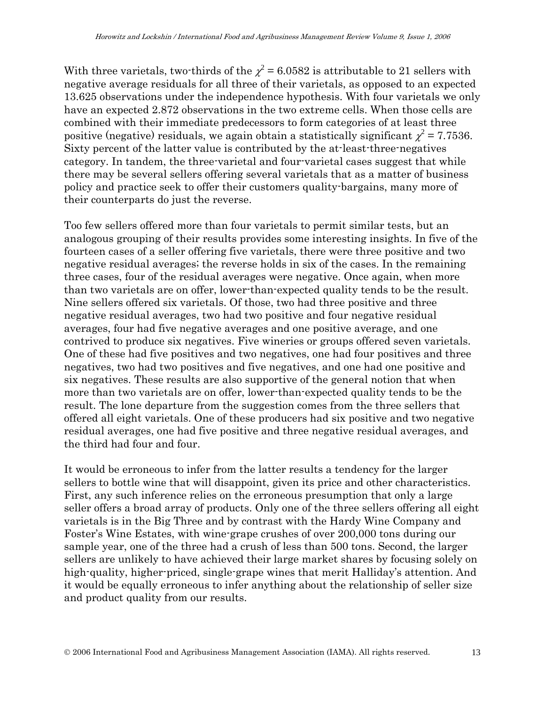With three varietals, two-thirds of the  $\chi^2$  = 6.0582 is attributable to 21 sellers with negative average residuals for all three of their varietals, as opposed to an expected 13.625 observations under the independence hypothesis. With four varietals we only have an expected 2.872 observations in the two extreme cells. When those cells are combined with their immediate predecessors to form categories of at least three positive (negative) residuals, we again obtain a statistically significant  $\chi^2$  = 7.7536. Sixty percent of the latter value is contributed by the at-least-three-negatives category. In tandem, the three-varietal and four-varietal cases suggest that while there may be several sellers offering several varietals that as a matter of business policy and practice seek to offer their customers quality-bargains, many more of their counterparts do just the reverse.

Too few sellers offered more than four varietals to permit similar tests, but an analogous grouping of their results provides some interesting insights. In five of the fourteen cases of a seller offering five varietals, there were three positive and two negative residual averages; the reverse holds in six of the cases. In the remaining three cases, four of the residual averages were negative. Once again, when more than two varietals are on offer, lower-than-expected quality tends to be the result. Nine sellers offered six varietals. Of those, two had three positive and three negative residual averages, two had two positive and four negative residual averages, four had five negative averages and one positive average, and one contrived to produce six negatives. Five wineries or groups offered seven varietals. One of these had five positives and two negatives, one had four positives and three negatives, two had two positives and five negatives, and one had one positive and six negatives. These results are also supportive of the general notion that when more than two varietals are on offer, lower-than-expected quality tends to be the result. The lone departure from the suggestion comes from the three sellers that offered all eight varietals. One of these producers had six positive and two negative residual averages, one had five positive and three negative residual averages, and the third had four and four.

It would be erroneous to infer from the latter results a tendency for the larger sellers to bottle wine that will disappoint, given its price and other characteristics. First, any such inference relies on the erroneous presumption that only a large seller offers a broad array of products. Only one of the three sellers offering all eight varietals is in the Big Three and by contrast with the Hardy Wine Company and Foster's Wine Estates, with wine-grape crushes of over 200,000 tons during our sample year, one of the three had a crush of less than 500 tons. Second, the larger sellers are unlikely to have achieved their large market shares by focusing solely on high-quality, higher-priced, single-grape wines that merit Halliday's attention. And it would be equally erroneous to infer anything about the relationship of seller size and product quality from our results.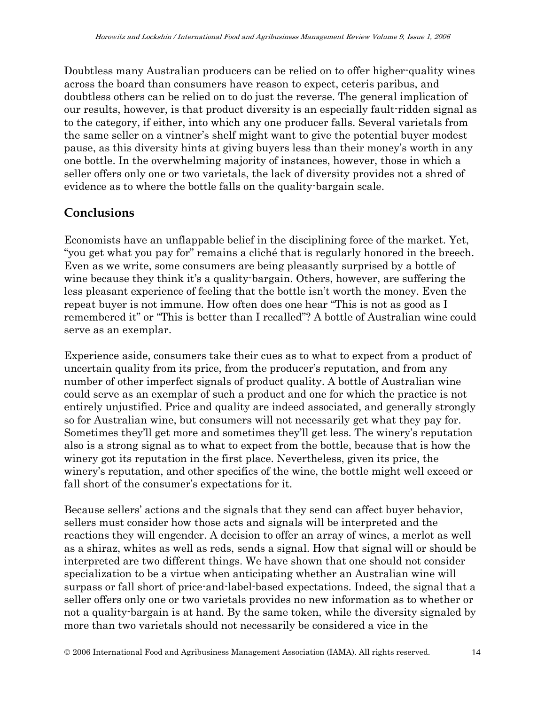Doubtless many Australian producers can be relied on to offer higher-quality wines across the board than consumers have reason to expect, ceteris paribus, and doubtless others can be relied on to do just the reverse. The general implication of our results, however, is that product diversity is an especially fault-ridden signal as to the category, if either, into which any one producer falls. Several varietals from the same seller on a vintner's shelf might want to give the potential buyer modest pause, as this diversity hints at giving buyers less than their money's worth in any one bottle. In the overwhelming majority of instances, however, those in which a seller offers only one or two varietals, the lack of diversity provides not a shred of evidence as to where the bottle falls on the quality-bargain scale.

### **Conclusions**

Economists have an unflappable belief in the disciplining force of the market. Yet, "you get what you pay for" remains a cliché that is regularly honored in the breech. Even as we write, some consumers are being pleasantly surprised by a bottle of wine because they think it's a quality-bargain. Others, however, are suffering the less pleasant experience of feeling that the bottle isn't worth the money. Even the repeat buyer is not immune. How often does one hear "This is not as good as I remembered it" or "This is better than I recalled"? A bottle of Australian wine could serve as an exemplar.

Experience aside, consumers take their cues as to what to expect from a product of uncertain quality from its price, from the producer's reputation, and from any number of other imperfect signals of product quality. A bottle of Australian wine could serve as an exemplar of such a product and one for which the practice is not entirely unjustified. Price and quality are indeed associated, and generally strongly so for Australian wine, but consumers will not necessarily get what they pay for. Sometimes they'll get more and sometimes they'll get less. The winery's reputation also is a strong signal as to what to expect from the bottle, because that is how the winery got its reputation in the first place. Nevertheless, given its price, the winery's reputation, and other specifics of the wine, the bottle might well exceed or fall short of the consumer's expectations for it.

Because sellers' actions and the signals that they send can affect buyer behavior, sellers must consider how those acts and signals will be interpreted and the reactions they will engender. A decision to offer an array of wines, a merlot as well as a shiraz, whites as well as reds, sends a signal. How that signal will or should be interpreted are two different things. We have shown that one should not consider specialization to be a virtue when anticipating whether an Australian wine will surpass or fall short of price-and-label-based expectations. Indeed, the signal that a seller offers only one or two varietals provides no new information as to whether or not a quality-bargain is at hand. By the same token, while the diversity signaled by more than two varietals should not necessarily be considered a vice in the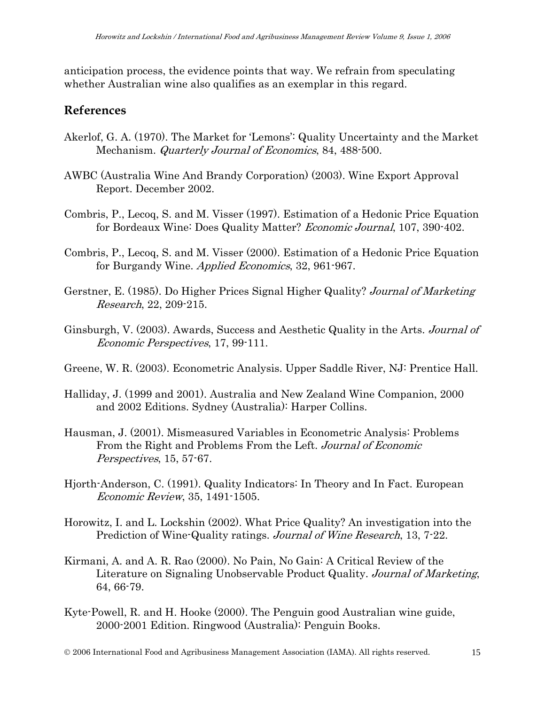anticipation process, the evidence points that way. We refrain from speculating whether Australian wine also qualifies as an exemplar in this regard.

#### **References**

- Akerlof, G. A. (1970). The Market for 'Lemons': Quality Uncertainty and the Market Mechanism. *Quarterly Journal of Economics*, 84, 488-500.
- AWBC (Australia Wine And Brandy Corporation) (2003). Wine Export Approval Report. December 2002.
- Combris, P., Lecoq, S. and M. Visser (1997). Estimation of a Hedonic Price Equation for Bordeaux Wine: Does Quality Matter? Economic Journal, 107, 390-402.
- Combris, P., Lecoq, S. and M. Visser (2000). Estimation of a Hedonic Price Equation for Burgandy Wine. *Applied Economics*, 32, 961-967.
- Gerstner, E. (1985). Do Higher Prices Signal Higher Quality? Journal of Marketing Research, 22, 209-215.
- Ginsburgh, V. (2003). Awards, Success and Aesthetic Quality in the Arts. Journal of Economic Perspectives, 17, 99-111.
- Greene, W. R. (2003). Econometric Analysis. Upper Saddle River, NJ: Prentice Hall.
- Halliday, J. (1999 and 2001). Australia and New Zealand Wine Companion, 2000 and 2002 Editions. Sydney (Australia): Harper Collins.
- Hausman, J. (2001). Mismeasured Variables in Econometric Analysis: Problems From the Right and Problems From the Left. Journal of Economic Perspectives, 15, 57-67.
- Hjorth-Anderson, C. (1991). Quality Indicators: In Theory and In Fact. European Economic Review, 35, 1491-1505.
- Horowitz, I. and L. Lockshin (2002). What Price Quality? An investigation into the Prediction of Wine-Quality ratings. Journal of Wine Research, 13, 7-22.
- Kirmani, A. and A. R. Rao (2000). No Pain, No Gain: A Critical Review of the Literature on Signaling Unobservable Product Quality. Journal of Marketing, 64, 66-79.
- Kyte-Powell, R. and H. Hooke (2000). The Penguin good Australian wine guide, 2000-2001 Edition. Ringwood (Australia): Penguin Books.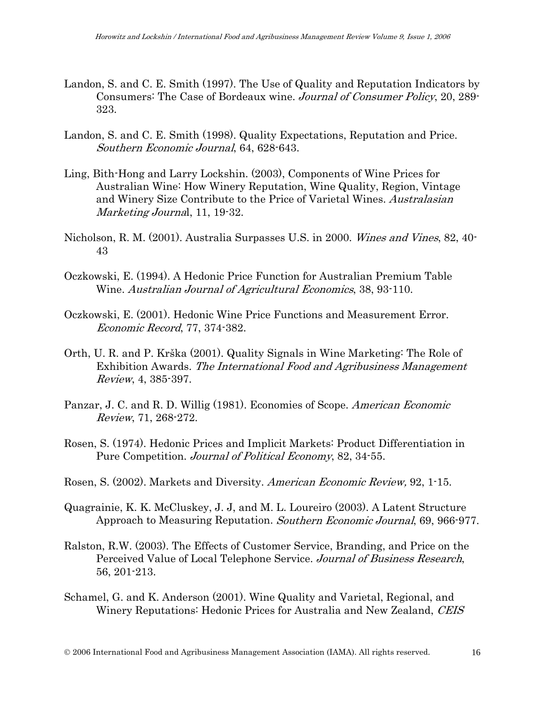- Landon, S. and C. E. Smith (1997). The Use of Quality and Reputation Indicators by Consumers: The Case of Bordeaux wine. Journal of Consumer Policy, 20, 289- 323.
- Landon, S. and C. E. Smith (1998). Quality Expectations, Reputation and Price. Southern Economic Journal, 64, 628-643.
- Ling, Bith-Hong and Larry Lockshin. (2003), Components of Wine Prices for Australian Wine: How Winery Reputation, Wine Quality, Region, Vintage and Winery Size Contribute to the Price of Varietal Wines. Australasian Marketing Journal, 11, 19-32.
- Nicholson, R. M. (2001). Australia Surpasses U.S. in 2000. Wines and Vines, 82, 40- 43
- Oczkowski, E. (1994). A Hedonic Price Function for Australian Premium Table Wine. Australian Journal of Agricultural Economics, 38, 93-110.
- Oczkowski, E. (2001). Hedonic Wine Price Functions and Measurement Error. Economic Record, 77, 374-382.
- Orth, U. R. and P. Krška (2001). Quality Signals in Wine Marketing: The Role of Exhibition Awards. The International Food and Agribusiness Management Review, 4, 385-397.
- Panzar, J. C. and R. D. Willig (1981). Economies of Scope. *American Economic* Review, 71, 268-272.
- Rosen, S. (1974). Hedonic Prices and Implicit Markets: Product Differentiation in Pure Competition. *Journal of Political Economy*, 82, 34-55.
- Rosen, S. (2002). Markets and Diversity. American Economic Review, 92, 1-15.
- Quagrainie, K. K. McCluskey, J. J, and M. L. Loureiro (2003). A Latent Structure Approach to Measuring Reputation. Southern Economic Journal, 69, 966-977.
- Ralston, R.W. (2003). The Effects of Customer Service, Branding, and Price on the Perceived Value of Local Telephone Service. Journal of Business Research, 56, 201-213.
- Schamel, G. and K. Anderson (2001). Wine Quality and Varietal, Regional, and Winery Reputations: Hedonic Prices for Australia and New Zealand, CEIS